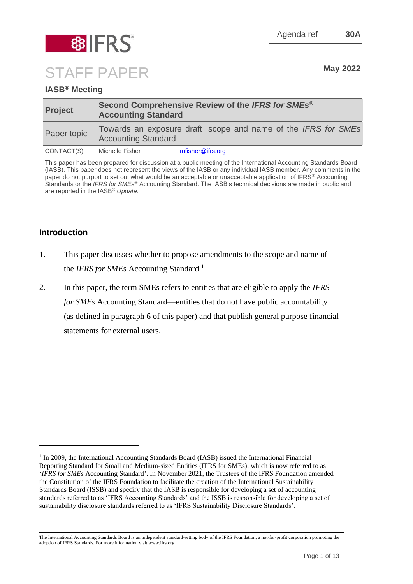Agenda ref **30A**



STAFF PAPER May 2022

# **IASB® Meeting**

| <b>Project</b> | Second Comprehensive Review of the IFRS for SMEs®<br><b>Accounting Standard</b> |                                                               |
|----------------|---------------------------------------------------------------------------------|---------------------------------------------------------------|
| Paper topic    | <b>Accounting Standard</b>                                                      | Towards an exposure draft-scope and name of the IFRS for SMEs |
| CONTACT(S)     | Michelle Fisher                                                                 | mfisher@ifrs.org                                              |

This paper has been prepared for discussion at a public meeting of the International Accounting Standards Board (IASB). This paper does not represent the views of the IASB or any individual IASB member. Any comments in the paper do not purport to set out what would be an acceptable or unacceptable application of IFRS® Accounting Standards or the *IFRS for SMEs*® Accounting Standard. The IASB's technical decisions are made in public and are reported in the IASB® *Update*.

# **Introduction**

- 1. This paper discusses whether to propose amendments to the scope and name of the *IFRS for SMEs* Accounting Standard.<sup>1</sup>
- 2. In this paper, the term SMEs refers to entities that are eligible to apply the *IFRS for SMEs* Accounting Standard—entities that do not have public accountability (as defined in paragraph 6 of this paper) and that publish general purpose financial statements for external users.

<sup>&</sup>lt;sup>1</sup> In 2009, the International Accounting Standards Board (IASB) issued the International Financial Reporting Standard for Small and Medium-sized Entities (IFRS for SMEs), which is now referred to as '*IFRS for SMEs* Accounting Standard'. In November 2021, the Trustees of the IFRS Foundation amended the Constitution of the IFRS Foundation to facilitate the creation of the International Sustainability Standards Board (ISSB) and specify that the IASB is responsible for developing a set of accounting standards referred to as 'IFRS Accounting Standards' and the ISSB is responsible for developing a set of sustainability disclosure standards referred to as 'IFRS Sustainability Disclosure Standards'.

The International Accounting Standards Board is an independent standard-setting body of the IFRS Foundation, a not-for-profit corporation promoting the adoption of IFRS Standards. For more information visit www.ifrs.org.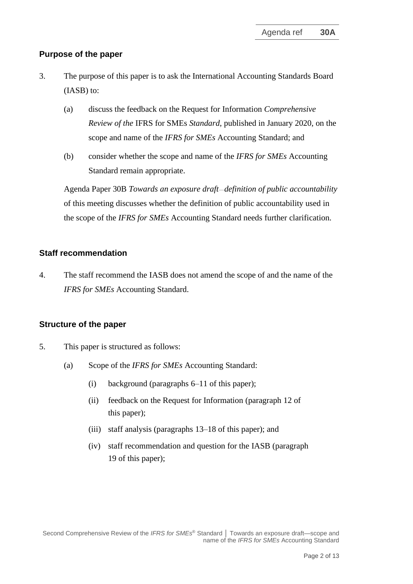## **Purpose of the paper**

- 3. The purpose of this paper is to ask the International Accounting Standards Board (IASB) to:
	- (a) discuss the feedback on the Request for Information *Comprehensive Review of the* IFRS for SMEs *Standard*, published in January 2020, on the scope and name of the *IFRS for SMEs* Accounting Standard; and
	- (b) consider whether the scope and name of the *IFRS for SMEs* Accounting Standard remain appropriate.

Agenda Paper 30B *Towards an exposure draft—definition of public accountability* of this meeting discusses whether the definition of public accountability used in the scope of the *IFRS for SMEs* Accounting Standard needs further clarification.

### **Staff recommendation**

4. The staff recommend the IASB does not amend the scope of and the name of the *IFRS for SMEs* Accounting Standard.

## **Structure of the paper**

- 5. This paper is structured as follows:
	- (a) Scope of the *IFRS for SMEs* Accounting Standard:
		- (i) background (paragraphs [6](#page-2-0)[–11](#page-4-0) of this paper);
		- (ii) feedback on the Request for Information (paragraph [12](#page-4-1) of this paper);
		- (iii) staff analysis (paragraphs [13](#page-5-0)[–18](#page-7-0) of this paper); and
		- (iv) staff recommendation and question for the IASB (paragraph [19](#page-7-1) of this paper);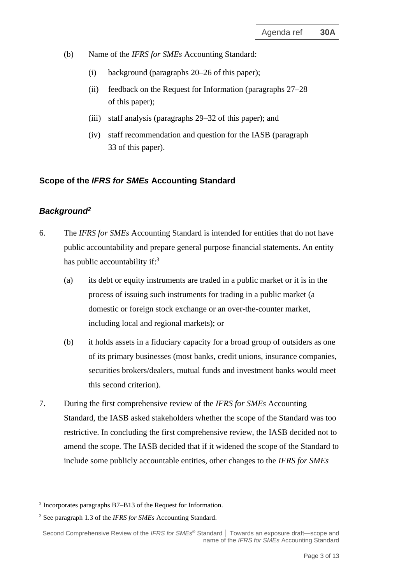- (b) Name of the *IFRS for SMEs* Accounting Standard:
	- (i) background (paragraphs [20](#page-8-0)[–26](#page-9-0) of this paper);
	- (ii) feedback on the Request for Information (paragraphs [27–](#page-9-1)[28](#page-10-0) of this paper);
	- (iii) staff analysis (paragraphs [29](#page-10-1)[–32](#page-11-0) of this paper); and
	- (iv) staff recommendation and question for the IASB (paragraph [33](#page-12-0) of this paper).

## **Scope of the** *IFRS for SMEs* **Accounting Standard**

### *Background<sup>2</sup>*

- <span id="page-2-0"></span>6. The *IFRS for SMEs* Accounting Standard is intended for entities that do not have public accountability and prepare general purpose financial statements. An entity has public accountability if: $3<sup>3</sup>$ 
	- (a) its debt or equity instruments are traded in a public market or it is in the process of issuing such instruments for trading in a public market (a domestic or foreign stock exchange or an over-the-counter market, including local and regional markets); or
	- (b) it holds assets in a fiduciary capacity for a broad group of outsiders as one of its primary businesses (most banks, credit unions, insurance companies, securities brokers/dealers, mutual funds and investment banks would meet this second criterion).
- 7. During the first comprehensive review of the *IFRS for SMEs* Accounting Standard, the IASB asked stakeholders whether the scope of the Standard was too restrictive. In concluding the first comprehensive review, the IASB decided not to amend the scope. The IASB decided that if it widened the scope of the Standard to include some publicly accountable entities, other changes to the *IFRS for SMEs*

<sup>2</sup> Incorporates paragraphs B7–B13 of the Request for Information.

<sup>3</sup> See paragraph 1.3 of the *IFRS for SMEs* Accounting Standard.

Second Comprehensive Review of the *IFRS for SMEs* ® Standard **│** Towards an exposure draft—scope and name of the *IFRS for SMEs* Accounting Standard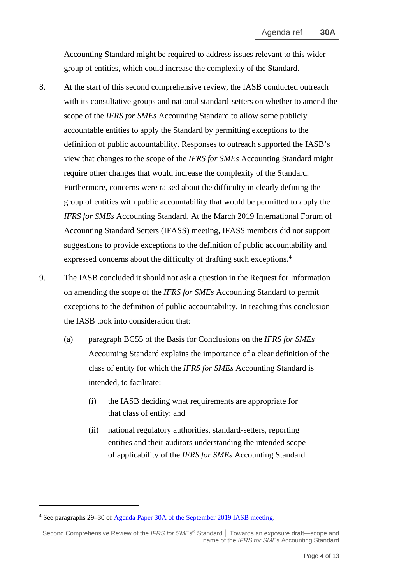Accounting Standard might be required to address issues relevant to this wider group of entities, which could increase the complexity of the Standard.

- <span id="page-3-0"></span>8. At the start of this second comprehensive review, the IASB conducted outreach with its consultative groups and national standard-setters on whether to amend the scope of the *IFRS for SMEs* Accounting Standard to allow some publicly accountable entities to apply the Standard by permitting exceptions to the definition of public accountability. Responses to outreach supported the IASB's view that changes to the scope of the *IFRS for SMEs* Accounting Standard might require other changes that would increase the complexity of the Standard. Furthermore, concerns were raised about the difficulty in clearly defining the group of entities with public accountability that would be permitted to apply the *IFRS for SMEs* Accounting Standard. At the March 2019 International Forum of Accounting Standard Setters (IFASS) meeting, IFASS members did not support suggestions to provide exceptions to the definition of public accountability and expressed concerns about the difficulty of drafting such exceptions. 4
- 9. The IASB concluded it should not ask a question in the Request for Information on amending the scope of the *IFRS for SMEs* Accounting Standard to permit exceptions to the definition of public accountability. In reaching this conclusion the IASB took into consideration that:
	- (a) paragraph BC55 of the Basis for Conclusions on the *IFRS for SMEs* Accounting Standard explains the importance of a clear definition of the class of entity for which the *IFRS for SMEs* Accounting Standard is intended, to facilitate:
		- (i) the IASB deciding what requirements are appropriate for that class of entity; and
		- (ii) national regulatory authorities, standard-setters, reporting entities and their auditors understanding the intended scope of applicability of the *IFRS for SMEs* Accounting Standard.

<sup>4</sup> See paragraphs 29–30 of [Agenda Paper 30A](https://www.ifrs.org/content/dam/ifrs/meetings/2019/september/iasb/ap30a-smes-review.pdf) of the September 2019 IASB meeting.

Second Comprehensive Review of the *IFRS for SMEs* ® Standard **│** Towards an exposure draft—scope and name of the *IFRS for SMEs* Accounting Standard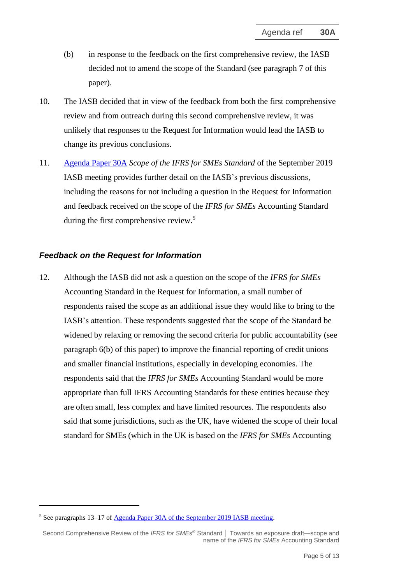- (b) in response to the feedback on the first comprehensive review, the IASB decided not to amend the scope of the Standard (see paragraph 7 of this paper).
- 10. The IASB decided that in view of the feedback from both the first comprehensive review and from outreach during this second comprehensive review, it was unlikely that responses to the Request for Information would lead the IASB to change its previous conclusions.
- <span id="page-4-0"></span>11. [Agenda Paper 30A](https://www.ifrs.org/content/dam/ifrs/meetings/2019/september/iasb/ap30a-smes-review.pdf) *Scope of the IFRS for SMEs Standard* of the September 2019 IASB meeting provides further detail on the IASB's previous discussions, including the reasons for not including a question in the Request for Information and feedback received on the scope of the *IFRS for SMEs* Accounting Standard during the first comprehensive review.<sup>5</sup>

### *Feedback on the Request for Information*

<span id="page-4-1"></span>12. Although the IASB did not ask a question on the scope of the *IFRS for SMEs* Accounting Standard in the Request for Information, a small number of respondents raised the scope as an additional issue they would like to bring to the IASB's attention. These respondents suggested that the scope of the Standard be widened by relaxing or removing the second criteria for public accountability (see paragraph 6(b) of this paper) to improve the financial reporting of credit unions and smaller financial institutions, especially in developing economies. The respondents said that the *IFRS for SMEs* Accounting Standard would be more appropriate than full IFRS Accounting Standards for these entities because they are often small, less complex and have limited resources. The respondents also said that some jurisdictions, such as the UK, have widened the scope of their local standard for SMEs (which in the UK is based on the *IFRS for SMEs* Accounting

<sup>5</sup> See paragraphs 13–17 of [Agenda Paper 30A](https://www.ifrs.org/content/dam/ifrs/meetings/2019/september/iasb/ap30a-smes-review.pdf) of the September 2019 IASB meeting.

Second Comprehensive Review of the *IFRS for SMEs* ® Standard **│** Towards an exposure draft—scope and name of the *IFRS for SMEs* Accounting Standard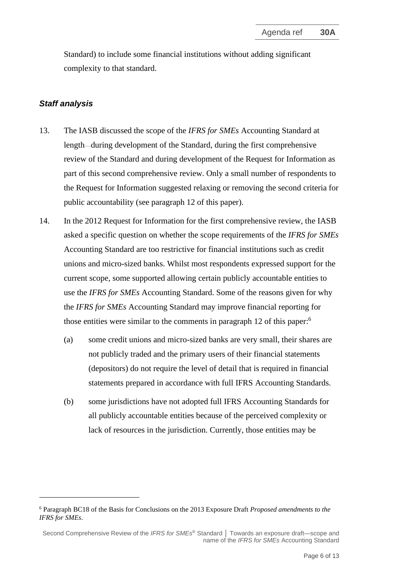Standard) to include some financial institutions without adding significant complexity to that standard.

### *Staff analysis*

- <span id="page-5-0"></span>13. The IASB discussed the scope of the *IFRS for SMEs* Accounting Standard at length—during development of the Standard, during the first comprehensive review of the Standard and during development of the Request for Information as part of this second comprehensive review. Only a small number of respondents to the Request for Information suggested relaxing or removing the second criteria for public accountability (see paragraph [12](#page-4-1) of this paper).
- 14. In the 2012 Request for Information for the first comprehensive review, the IASB asked a specific question on whether the scope requirements of the *IFRS for SMEs*  Accounting Standard are too restrictive for financial institutions such as credit unions and micro-sized banks. Whilst most respondents expressed support for the current scope, some supported allowing certain publicly accountable entities to use the *IFRS for SMEs* Accounting Standard. Some of the reasons given for why the *IFRS for SMEs* Accounting Standard may improve financial reporting for those entities were similar to the comments in paragraph [12](#page-4-1) of this paper:<sup>6</sup>
	- (a) some credit unions and micro-sized banks are very small, their shares are not publicly traded and the primary users of their financial statements (depositors) do not require the level of detail that is required in financial statements prepared in accordance with full IFRS Accounting Standards.
	- (b) some jurisdictions have not adopted full IFRS Accounting Standards for all publicly accountable entities because of the perceived complexity or lack of resources in the jurisdiction. Currently, those entities may be

<sup>6</sup> Paragraph BC18 of the Basis for Conclusions on the 2013 Exposure Draft *Proposed amendments to the IFRS for SMEs*.

Second Comprehensive Review of the *IFRS for SMEs* ® Standard **│** Towards an exposure draft—scope and name of the *IFRS for SMEs* Accounting Standard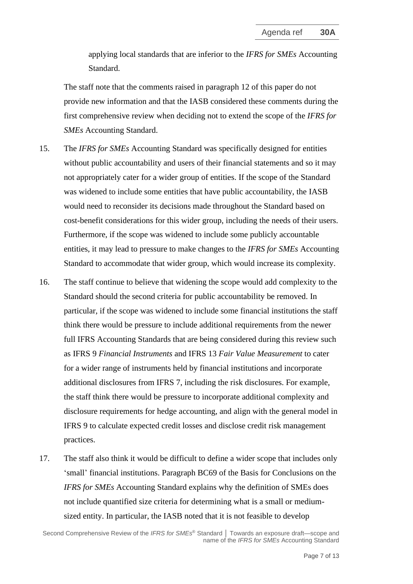applying local standards that are inferior to the *IFRS for SMEs* Accounting Standard.

The staff note that the comments raised in paragraph [12](#page-4-1) of this paper do not provide new information and that the IASB considered these comments during the first comprehensive review when deciding not to extend the scope of the *IFRS for SMEs* Accounting Standard.

- 15. The *IFRS for SMEs* Accounting Standard was specifically designed for entities without public accountability and users of their financial statements and so it may not appropriately cater for a wider group of entities. If the scope of the Standard was widened to include some entities that have public accountability, the IASB would need to reconsider its decisions made throughout the Standard based on cost-benefit considerations for this wider group, including the needs of their users. Furthermore, if the scope was widened to include some publicly accountable entities, it may lead to pressure to make changes to the *IFRS for SMEs* Accounting Standard to accommodate that wider group, which would increase its complexity.
- 16. The staff continue to believe that widening the scope would add complexity to the Standard should the second criteria for public accountability be removed. In particular, if the scope was widened to include some financial institutions the staff think there would be pressure to include additional requirements from the newer full IFRS Accounting Standards that are being considered during this review such as IFRS 9 *Financial Instruments* and IFRS 13 *Fair Value Measurement* to cater for a wider range of instruments held by financial institutions and incorporate additional disclosures from IFRS 7, including the risk disclosures. For example, the staff think there would be pressure to incorporate additional complexity and disclosure requirements for hedge accounting, and align with the general model in IFRS 9 to calculate expected credit losses and disclose credit risk management practices.
- <span id="page-6-0"></span>17. The staff also think it would be difficult to define a wider scope that includes only 'small' financial institutions. Paragraph BC69 of the Basis for Conclusions on the *IFRS for SMEs* Accounting Standard explains why the definition of SMEs does not include quantified size criteria for determining what is a small or mediumsized entity. In particular, the IASB noted that it is not feasible to develop

Second Comprehensive Review of the *IFRS for SMEs* ® Standard **│** Towards an exposure draft—scope and name of the *IFRS for SMEs* Accounting Standard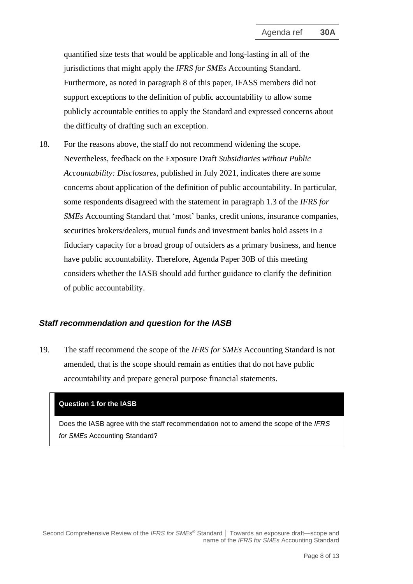quantified size tests that would be applicable and long-lasting in all of the jurisdictions that might apply the *IFRS for SMEs* Accounting Standard. Furthermore, as noted in paragraph [8](#page-3-0) of this paper, IFASS members did not support exceptions to the definition of public accountability to allow some publicly accountable entities to apply the Standard and expressed concerns about the difficulty of drafting such an exception.

<span id="page-7-0"></span>18. For the reasons above, the staff do not recommend widening the scope. Nevertheless, feedback on the Exposure Draft *Subsidiaries without Public Accountability: Disclosures*, published in July 2021, indicates there are some concerns about application of the definition of public accountability. In particular, some respondents disagreed with the statement in paragraph 1.3 of the *IFRS for SMEs* Accounting Standard that 'most' banks, credit unions, insurance companies, securities brokers/dealers, mutual funds and investment banks hold assets in a fiduciary capacity for a broad group of outsiders as a primary business, and hence have public accountability. Therefore, Agenda Paper 30B of this meeting considers whether the IASB should add further guidance to clarify the definition of public accountability.

#### *Staff recommendation and question for the IASB*

<span id="page-7-1"></span>19. The staff recommend the scope of the *IFRS for SMEs* Accounting Standard is not amended, that is the scope should remain as entities that do not have public accountability and prepare general purpose financial statements.

#### **Question 1 for the IASB**

Does the IASB agree with the staff recommendation not to amend the scope of the *IFRS for SMEs* Accounting Standard?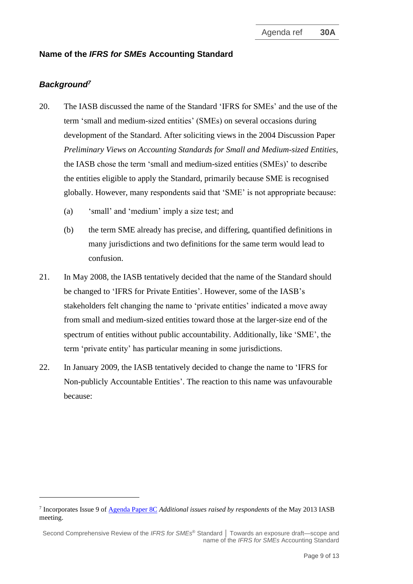## **Name of the** *IFRS for SMEs* **Accounting Standard**

# *Background<sup>7</sup>*

- <span id="page-8-0"></span>20. The IASB discussed the name of the Standard 'IFRS for SMEs' and the use of the term 'small and medium-sized entities' (SMEs) on several occasions during development of the Standard. After soliciting views in the 2004 Discussion Paper *Preliminary Views on Accounting Standards for Small and Medium-sized Entities*, the IASB chose the term 'small and medium-sized entities (SMEs)' to describe the entities eligible to apply the Standard, primarily because SME is recognised globally. However, many respondents said that 'SME' is not appropriate because:
	- (a) 'small' and 'medium' imply a size test; and
	- (b) the term SME already has precise, and differing, quantified definitions in many jurisdictions and two definitions for the same term would lead to confusion.
- 21. In May 2008, the IASB tentatively decided that the name of the Standard should be changed to 'IFRS for Private Entities'. However, some of the IASB's stakeholders felt changing the name to 'private entities' indicated a move away from small and medium-sized entities toward those at the larger-size end of the spectrum of entities without public accountability. Additionally, like 'SME', the term 'private entity' has particular meaning in some jurisdictions.
- 22. In January 2009, the IASB tentatively decided to change the name to 'IFRS for Non-publicly Accountable Entities'. The reaction to this name was unfavourable because:

<sup>7</sup> Incorporates Issue 9 of [Agenda Paper 8C](https://www.ifrs.org/content/dam/ifrs/meetings/2013/may/iasb/comprehensive-review-of-ifrs-for-smes/ap8c-additional-issues-raised-by-respondents-paper-2.pdf) *Additional issues raised by respondents* of the May 2013 IASB meeting.

Second Comprehensive Review of the *IFRS for SMEs* ® Standard **│** Towards an exposure draft—scope and name of the *IFRS for SMEs* Accounting Standard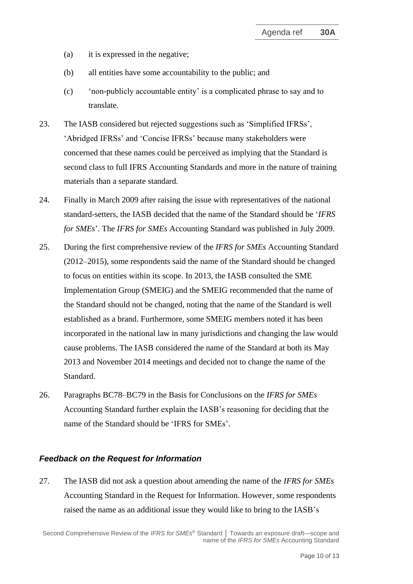- (a) it is expressed in the negative;
- (b) all entities have some accountability to the public; and
- (c) 'non-publicly accountable entity' is a complicated phrase to say and to translate.
- 23. The IASB considered but rejected suggestions such as 'Simplified IFRSs', 'Abridged IFRSs' and 'Concise IFRSs' because many stakeholders were concerned that these names could be perceived as implying that the Standard is second class to full IFRS Accounting Standards and more in the nature of training materials than a separate standard.
- 24. Finally in March 2009 after raising the issue with representatives of the national standard-setters, the IASB decided that the name of the Standard should be '*IFRS for SMEs*'. The *IFRS for SMEs* Accounting Standard was published in July 2009.
- <span id="page-9-2"></span>25. During the first comprehensive review of the *IFRS for SMEs* Accounting Standard (2012–2015), some respondents said the name of the Standard should be changed to focus on entities within its scope. In 2013, the IASB consulted the SME Implementation Group (SMEIG) and the SMEIG recommended that the name of the Standard should not be changed, noting that the name of the Standard is well established as a brand. Furthermore, some SMEIG members noted it has been incorporated in the national law in many jurisdictions and changing the law would cause problems. The IASB considered the name of the Standard at both its May 2013 and November 2014 meetings and decided not to change the name of the Standard.
- <span id="page-9-0"></span>26. Paragraphs BC78–BC79 in the Basis for Conclusions on the *IFRS for SMEs* Accounting Standard further explain the IASB's reasoning for deciding that the name of the Standard should be 'IFRS for SMEs'.

#### *Feedback on the Request for Information*

<span id="page-9-1"></span>27. The IASB did not ask a question about amending the name of the *IFRS for SMEs* Accounting Standard in the Request for Information. However, some respondents raised the name as an additional issue they would like to bring to the IASB's

Second Comprehensive Review of the *IFRS for SMEs* ® Standard **│** Towards an exposure draft—scope and name of the *IFRS for SMEs* Accounting Standard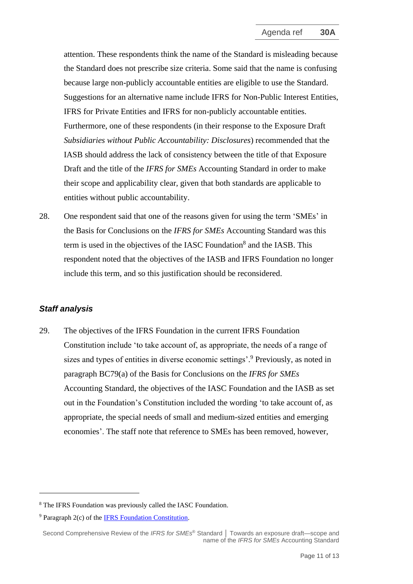attention. These respondents think the name of the Standard is misleading because the Standard does not prescribe size criteria. Some said that the name is confusing because large non-publicly accountable entities are eligible to use the Standard. Suggestions for an alternative name include IFRS for Non-Public Interest Entities, IFRS for Private Entities and IFRS for non-publicly accountable entities. Furthermore, one of these respondents (in their response to the Exposure Draft *Subsidiaries without Public Accountability: Disclosures*) recommended that the IASB should address the lack of consistency between the title of that Exposure Draft and the title of the *IFRS for SMEs* Accounting Standard in order to make their scope and applicability clear*,* given that both standards are applicable to entities without public accountability.

<span id="page-10-0"></span>28. One respondent said that one of the reasons given for using the term 'SMEs' in the Basis for Conclusions on the *IFRS for SMEs* Accounting Standard was this term is used in the objectives of the IASC Foundation<sup>8</sup> and the IASB. This respondent noted that the objectives of the IASB and IFRS Foundation no longer include this term, and so this justification should be reconsidered.

## *Staff analysis*

<span id="page-10-1"></span>29. The objectives of the IFRS Foundation in the current IFRS Foundation Constitution include 'to take account of, as appropriate, the needs of a range of sizes and types of entities in diverse economic settings'. <sup>9</sup> Previously, as noted in paragraph BC79(a) of the Basis for Conclusions on the *IFRS for SMEs* Accounting Standard, the objectives of the IASC Foundation and the IASB as set out in the Foundation's Constitution included the wording 'to take account of, as appropriate, the special needs of small and medium-sized entities and emerging economies'. The staff note that reference to SMEs has been removed, however,

<sup>8</sup> The IFRS Foundation was previously called the IASC Foundation.

<sup>9</sup> Paragraph 2(c) of th[e IFRS Foundation Constitution.](https://www.ifrs.org/content/dam/ifrs/about-us/legal-and-governance/constitution-docs/ifrs-foundation-constitution-2021.pdf)

Second Comprehensive Review of the *IFRS for SMEs* ® Standard **│** Towards an exposure draft—scope and name of the *IFRS for SMEs* Accounting Standard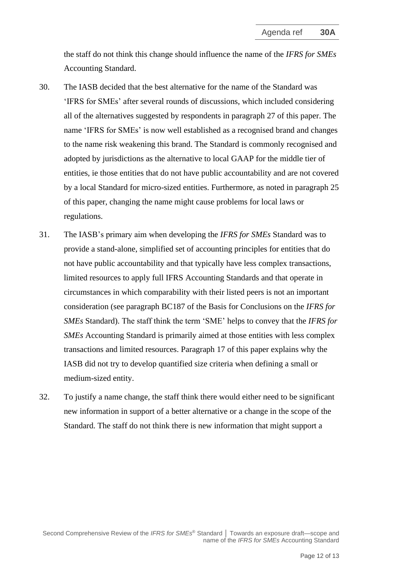the staff do not think this change should influence the name of the *IFRS for SMEs* Accounting Standard.

- 30. The IASB decided that the best alternative for the name of the Standard was 'IFRS for SMEs' after several rounds of discussions, which included considering all of the alternatives suggested by respondents in paragraph [27](#page-9-1) of this paper. The name 'IFRS for SMEs' is now well established as a recognised brand and changes to the name risk weakening this brand. The Standard is commonly recognised and adopted by jurisdictions as the alternative to local GAAP for the middle tier of entities, ie those entities that do not have public accountability and are not covered by a local Standard for micro-sized entities. Furthermore, as noted in paragraph [25](#page-9-2) of this paper, changing the name might cause problems for local laws or regulations.
- 31. The IASB's primary aim when developing the *IFRS for SMEs* Standard was to provide a stand-alone, simplified set of accounting principles for entities that do not have public accountability and that typically have less complex transactions, limited resources to apply full IFRS Accounting Standards and that operate in circumstances in which comparability with their listed peers is not an important consideration (see paragraph BC187 of the Basis for Conclusions on the *IFRS for SMEs* Standard). The staff think the term 'SME' helps to convey that the *IFRS for SMEs* Accounting Standard is primarily aimed at those entities with less complex transactions and limited resources. Paragraph [17](#page-6-0) of this paper explains why the IASB did not try to develop quantified size criteria when defining a small or medium-sized entity.
- <span id="page-11-0"></span>32. To justify a name change, the staff think there would either need to be significant new information in support of a better alternative or a change in the scope of the Standard. The staff do not think there is new information that might support a